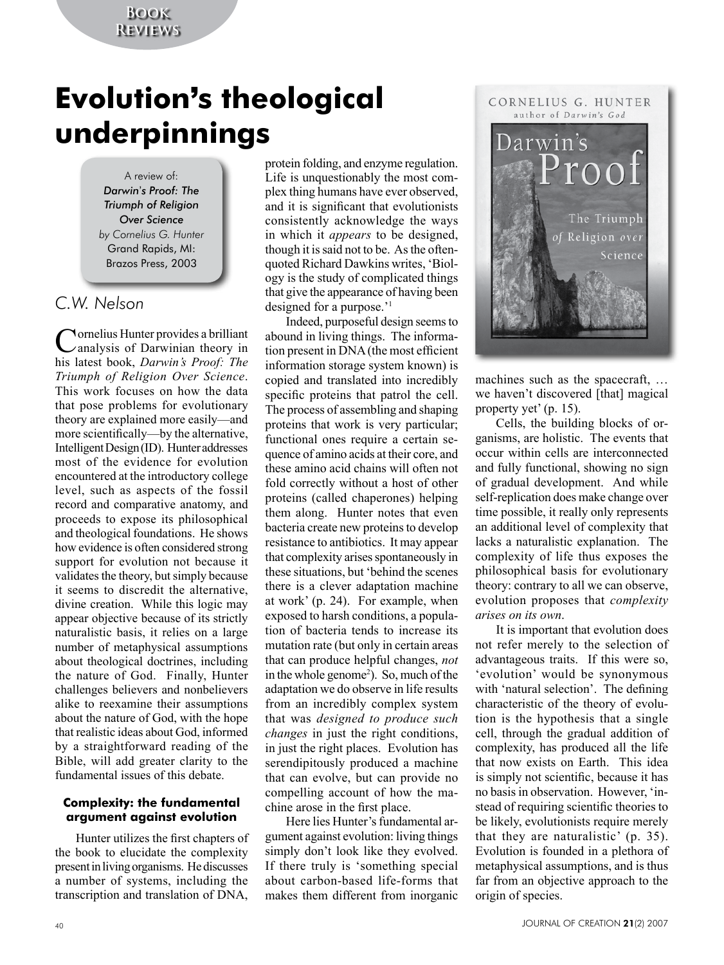## **Book Reviews**

# **Evolution**'**s theological underpinnings**

A review of: *Darwin*'*s Proof: The Triumph of Religion Over Science by Cornelius G. Hunter* Grand Rapids, MI: Brazos Press, 2003

# *C.W. Nelson*

Cornelius Hunter provides a brilliant analysis of Darwinian theory in his latest book, *Darwin's Proof: The Triumph of Religion Over Science*. This work focuses on how the data that pose problems for evolutionary theory are explained more easily—and more scientifically—by the alternative, Intelligent Design (ID). Hunter addresses most of the evidence for evolution encountered at the introductory college level, such as aspects of the fossil record and comparative anatomy, and proceeds to expose its philosophical and theological foundations. He shows how evidence is often considered strong support for evolution not because it validates the theory, but simply because it seems to discredit the alternative, divine creation. While this logic may appear objective because of its strictly naturalistic basis, it relies on a large number of metaphysical assumptions about theological doctrines, including the nature of God. Finally, Hunter challenges believers and nonbelievers alike to reexamine their assumptions about the nature of God, with the hope that realistic ideas about God, informed by a straightforward reading of the Bible, will add greater clarity to the fundamental issues of this debate.

### **Complexity: the fundamental argument against evolution**

Hunter utilizes the first chapters of the book to elucidate the complexity present in living organisms. He discusses a number of systems, including the transcription and translation of DNA,

protein folding, and enzyme regulation. Life is unquestionably the most complex thing humans have ever observed, and it is significant that evolutionists consistently acknowledge the ways in which it *appears* to be designed, though it is said not to be. As the oftenquoted Richard Dawkins writes, 'Biology is the study of complicated things that give the appearance of having been designed for a purpose.'1

Indeed, purposeful design seems to abound in living things. The information present in DNA (the most efficient information storage system known) is copied and translated into incredibly specific proteins that patrol the cell. The process of assembling and shaping proteins that work is very particular; functional ones require a certain sequence of amino acids at their core, and these amino acid chains will often not fold correctly without a host of other proteins (called chaperones) helping them along. Hunter notes that even bacteria create new proteins to develop resistance to antibiotics. It may appear that complexity arises spontaneously in these situations, but 'behind the scenes there is a clever adaptation machine at work' (p. 24). For example, when exposed to harsh conditions, a population of bacteria tends to increase its mutation rate (but only in certain areas that can produce helpful changes, *not* in the whole genome<sup>2</sup>). So, much of the adaptation we do observe in life results from an incredibly complex system that was *designed to produce such changes* in just the right conditions, in just the right places. Evolution has serendipitously produced a machine that can evolve, but can provide no compelling account of how the machine arose in the first place.

Here lies Hunter's fundamental argument against evolution: living things simply don't look like they evolved. If there truly is 'something special about carbon-based life-forms that makes them different from inorganic



machines such as the spacecraft, … we haven't discovered [that] magical property yet' (p. 15).

Cells, the building blocks of organisms, are holistic. The events that occur within cells are interconnected and fully functional, showing no sign of gradual development. And while self-replication does make change over time possible, it really only represents an additional level of complexity that lacks a naturalistic explanation. The complexity of life thus exposes the philosophical basis for evolutionary theory: contrary to all we can observe, evolution proposes that *complexity arises on its own*.

It is important that evolution does not refer merely to the selection of advantageous traits. If this were so, 'evolution' would be synonymous with 'natural selection'. The defining characteristic of the theory of evolution is the hypothesis that a single cell, through the gradual addition of complexity, has produced all the life that now exists on Earth. This idea is simply not scientific, because it has no basis in observation. However, 'instead of requiring scientific theories to be likely, evolutionists require merely that they are naturalistic' (p. 35). Evolution is founded in a plethora of metaphysical assumptions, and is thus far from an objective approach to the origin of species.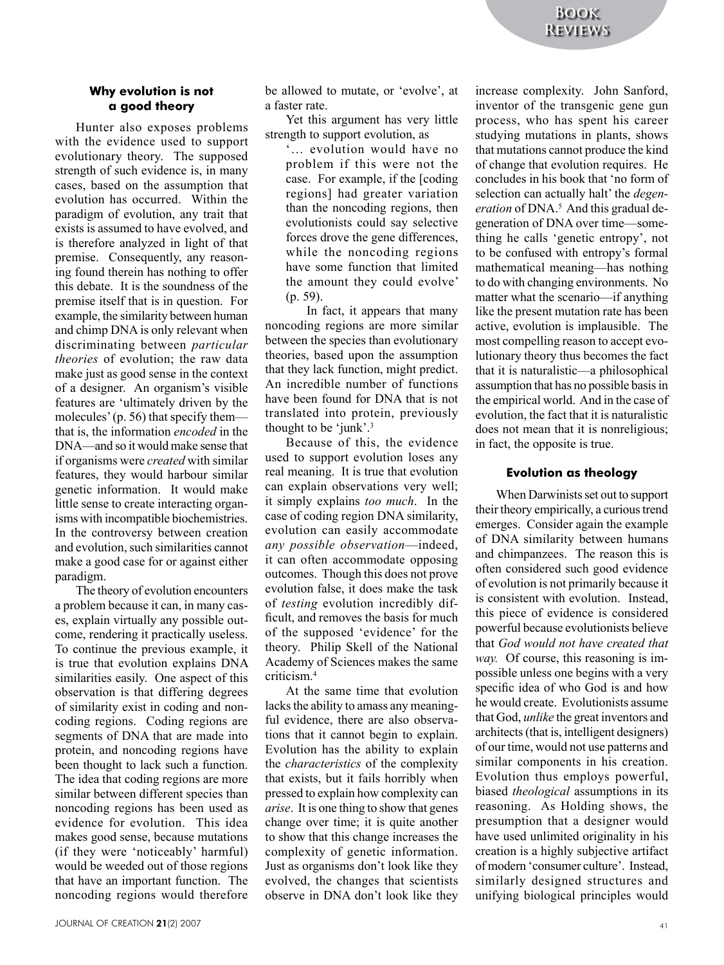#### **Why evolution is not a good theory**

Hunter also exposes problems with the evidence used to support evolutionary theory. The supposed strength of such evidence is, in many cases, based on the assumption that evolution has occurred. Within the paradigm of evolution, any trait that exists is assumed to have evolved, and is therefore analyzed in light of that premise. Consequently, any reasoning found therein has nothing to offer this debate. It is the soundness of the premise itself that is in question. For example, the similarity between human and chimp DNA is only relevant when discriminating between *particular theories* of evolution; the raw data make just as good sense in the context of a designer. An organism's visible features are 'ultimately driven by the molecules' (p. 56) that specify them that is, the information *encoded* in the DNA—and so it would make sense that if organisms were *created* with similar features, they would harbour similar genetic information. It would make little sense to create interacting organisms with incompatible biochemistries. In the controversy between creation and evolution, such similarities cannot make a good case for or against either paradigm.

The theory of evolution encounters a problem because it can, in many cases, explain virtually any possible outcome, rendering it practically useless. To continue the previous example, it is true that evolution explains DNA similarities easily. One aspect of this observation is that differing degrees of similarity exist in coding and noncoding regions. Coding regions are segments of DNA that are made into protein, and noncoding regions have been thought to lack such a function. The idea that coding regions are more similar between different species than noncoding regions has been used as evidence for evolution. This idea makes good sense, because mutations (if they were 'noticeably' harmful) would be weeded out of those regions that have an important function. The noncoding regions would therefore

be allowed to mutate, or 'evolve', at a faster rate.

Yet this argument has very little strength to support evolution, as

'… evolution would have no problem if this were not the case. For example, if the [coding regions] had greater variation than the noncoding regions, then evolutionists could say selective forces drove the gene differences, while the noncoding regions have some function that limited the amount they could evolve' (p. 59).

In fact, it appears that many noncoding regions are more similar between the species than evolutionary theories, based upon the assumption that they lack function, might predict. An incredible number of functions have been found for DNA that is not translated into protein, previously thought to be 'junk'.3

Because of this, the evidence used to support evolution loses any real meaning. It is true that evolution can explain observations very well; it simply explains *too much*. In the case of coding region DNA similarity, evolution can easily accommodate *any possible observation*—indeed, it can often accommodate opposing outcomes. Though this does not prove evolution false, it does make the task of *testing* evolution incredibly difficult, and removes the basis for much of the supposed 'evidence' for the theory. Philip Skell of the National Academy of Sciences makes the same criticism.4

At the same time that evolution lacks the ability to amass any meaningful evidence, there are also observations that it cannot begin to explain. Evolution has the ability to explain the *characteristics* of the complexity that exists, but it fails horribly when pressed to explain how complexity can *arise*. It is one thing to show that genes change over time; it is quite another to show that this change increases the complexity of genetic information. Just as organisms don't look like they evolved, the changes that scientists observe in DNA don't look like they

increase complexity. John Sanford, inventor of the transgenic gene gun process, who has spent his career studying mutations in plants, shows that mutations cannot produce the kind of change that evolution requires. He concludes in his book that 'no form of selection can actually halt' the *degen*eration of DNA.<sup>5</sup> And this gradual degeneration of DNA over time—something he calls 'genetic entropy', not to be confused with entropy's formal mathematical meaning—has nothing to do with changing environments. No matter what the scenario—if anything like the present mutation rate has been active, evolution is implausible. The most compelling reason to accept evolutionary theory thus becomes the fact that it is naturalistic—a philosophical assumption that has no possible basis in the empirical world. And in the case of evolution, the fact that it is naturalistic does not mean that it is nonreligious; in fact, the opposite is true.

#### **Evolution as theology**

When Darwinists set out to support their theory empirically, a curious trend emerges. Consider again the example of DNA similarity between humans and chimpanzees. The reason this is often considered such good evidence of evolution is not primarily because it is consistent with evolution. Instead, this piece of evidence is considered powerful because evolutionists believe that *God would not have created that way.* Of course, this reasoning is impossible unless one begins with a very specific idea of who God is and how he would create. Evolutionists assume that God, *unlike* the great inventors and architects (that is, intelligent designers) of our time, would not use patterns and similar components in his creation. Evolution thus employs powerful, biased *theological* assumptions in its reasoning. As Holding shows, the presumption that a designer would have used unlimited originality in his creation is a highly subjective artifact of modern 'consumer culture'. Instead, similarly designed structures and unifying biological principles would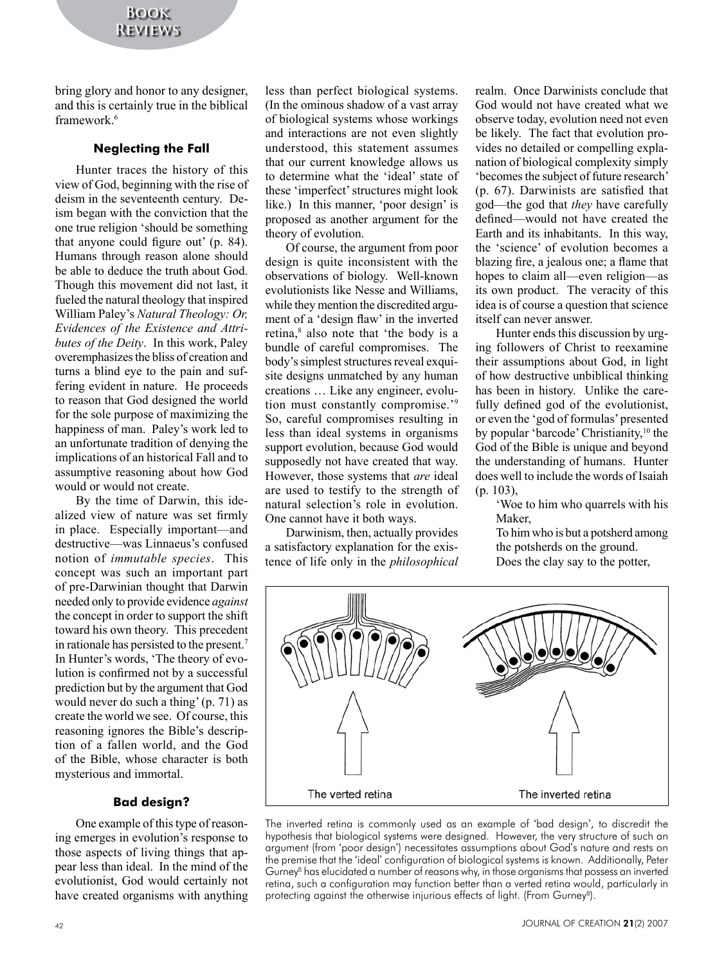bring glory and honor to any designer, and this is certainly true in the biblical framework.6

#### **Neglecting the Fall**

Hunter traces the history of this view of God, beginning with the rise of deism in the seventeenth century. Deism began with the conviction that the one true religion 'should be something that anyone could figure out' (p. 84). Humans through reason alone should be able to deduce the truth about God. Though this movement did not last, it fueled the natural theology that inspired William Paley's *Natural Theology: Or, Evidences of the Existence and Attributes of the Deity*. In this work, Paley overemphasizes the bliss of creation and turns a blind eye to the pain and suffering evident in nature. He proceeds to reason that God designed the world for the sole purpose of maximizing the happiness of man. Paley's work led to an unfortunate tradition of denying the implications of an historical Fall and to assumptive reasoning about how God would or would not create.

By the time of Darwin, this idealized view of nature was set firmly in place. Especially important—and destructive—was Linnaeus's confused notion of *immutable species*. This concept was such an important part of pre-Darwinian thought that Darwin needed only to provide evidence *against* the concept in order to support the shift toward his own theory. This precedent in rationale has persisted to the present.7 In Hunter's words, 'The theory of evolution is confirmed not by a successful prediction but by the argument that God would never do such a thing' (p. 71) as create the world we see. Of course, this reasoning ignores the Bible's description of a fallen world, and the God of the Bible, whose character is both mysterious and immortal.

## **Bad design?**

One example of this type of reasoning emerges in evolution's response to those aspects of living things that appear less than ideal. In the mind of the evolutionist, God would certainly not have created organisms with anything

less than perfect biological systems. (In the ominous shadow of a vast array of biological systems whose workings and interactions are not even slightly understood, this statement assumes that our current knowledge allows us to determine what the 'ideal' state of these 'imperfect' structures might look like.) In this manner, 'poor design' is proposed as another argument for the theory of evolution.

Of course, the argument from poor design is quite inconsistent with the observations of biology. Well-known evolutionists like Nesse and Williams, while they mention the discredited argument of a 'design flaw' in the inverted retina,<sup>8</sup> also note that 'the body is a bundle of careful compromises. The body's simplest structures reveal exquisite designs unmatched by any human creations … Like any engineer, evolution must constantly compromise.'9 So, careful compromises resulting in less than ideal systems in organisms support evolution, because God would supposedly not have created that way. However, those systems that *are* ideal are used to testify to the strength of natural selection's role in evolution. One cannot have it both ways.

Darwinism, then, actually provides a satisfactory explanation for the existence of life only in the *philosophical* realm. Once Darwinists conclude that God would not have created what we observe today, evolution need not even be likely. The fact that evolution provides no detailed or compelling explanation of biological complexity simply 'becomes the subject of future research' (p. 67). Darwinists are satisfied that god—the god that *they* have carefully defined—would not have created the Earth and its inhabitants. In this way, the 'science' of evolution becomes a blazing fire, a jealous one; a flame that hopes to claim all—even religion—as its own product. The veracity of this idea is of course a question that science itself can never answer.

Hunter ends this discussion by urging followers of Christ to reexamine their assumptions about God, in light of how destructive unbiblical thinking has been in history. Unlike the carefully defined god of the evolutionist, or even the 'god of formulas' presented by popular 'barcode' Christianity,<sup>10</sup> the God of the Bible is unique and beyond the understanding of humans. Hunter does well to include the words of Isaiah (p. 103),

'Woe to him who quarrels with his **Maker** 

To him who is but a potsherd among the potsherds on the ground. Does the clay say to the potter,



The inverted retina is commonly used as an example of 'bad design', to discredit the hypothesis that biological systems were designed. However, the very structure of such an argument (from 'poor design') necessitates assumptions about God's nature and rests on the premise that the 'ideal' configuration of biological systems is known. Additionally, Peter Gurney<sup>8</sup> has elucidated a number of reasons why, in those organisms that possess an inverted retina, such a configuration may function better than a verted retina would, particularly in protecting against the otherwise injurious effects of light. (From Gurney<sup>8</sup>).